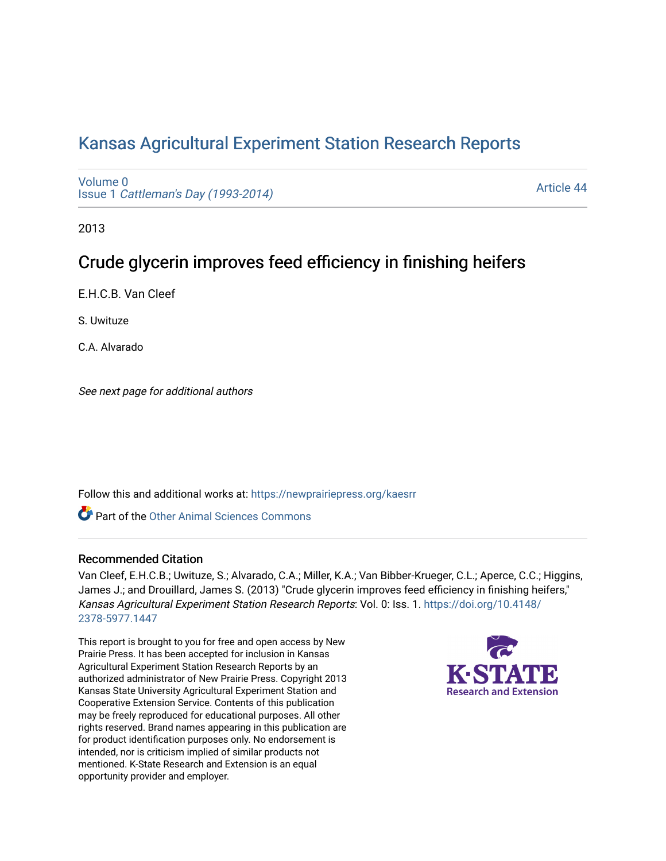# [Kansas Agricultural Experiment Station Research Reports](https://newprairiepress.org/kaesrr)

[Volume 0](https://newprairiepress.org/kaesrr/vol0) Issue 1 [Cattleman's Day \(1993-2014\)](https://newprairiepress.org/kaesrr/vol0/iss1) 

[Article 44](https://newprairiepress.org/kaesrr/vol0/iss1/44) 

2013

# Crude glycerin improves feed efficiency in finishing heifers

E.H.C.B. Van Cleef

S. Uwituze

C.A. Alvarado

See next page for additional authors

Follow this and additional works at: [https://newprairiepress.org/kaesrr](https://newprairiepress.org/kaesrr?utm_source=newprairiepress.org%2Fkaesrr%2Fvol0%2Fiss1%2F44&utm_medium=PDF&utm_campaign=PDFCoverPages) 

**C** Part of the [Other Animal Sciences Commons](http://network.bepress.com/hgg/discipline/82?utm_source=newprairiepress.org%2Fkaesrr%2Fvol0%2Fiss1%2F44&utm_medium=PDF&utm_campaign=PDFCoverPages)

#### Recommended Citation

Van Cleef, E.H.C.B.; Uwituze, S.; Alvarado, C.A.; Miller, K.A.; Van Bibber-Krueger, C.L.; Aperce, C.C.; Higgins, James J.; and Drouillard, James S. (2013) "Crude glycerin improves feed efficiency in finishing heifers," Kansas Agricultural Experiment Station Research Reports: Vol. 0: Iss. 1. [https://doi.org/10.4148/](https://doi.org/10.4148/2378-5977.1447) [2378-5977.1447](https://doi.org/10.4148/2378-5977.1447) 

This report is brought to you for free and open access by New Prairie Press. It has been accepted for inclusion in Kansas Agricultural Experiment Station Research Reports by an authorized administrator of New Prairie Press. Copyright 2013 Kansas State University Agricultural Experiment Station and Cooperative Extension Service. Contents of this publication may be freely reproduced for educational purposes. All other rights reserved. Brand names appearing in this publication are for product identification purposes only. No endorsement is intended, nor is criticism implied of similar products not mentioned. K-State Research and Extension is an equal opportunity provider and employer.

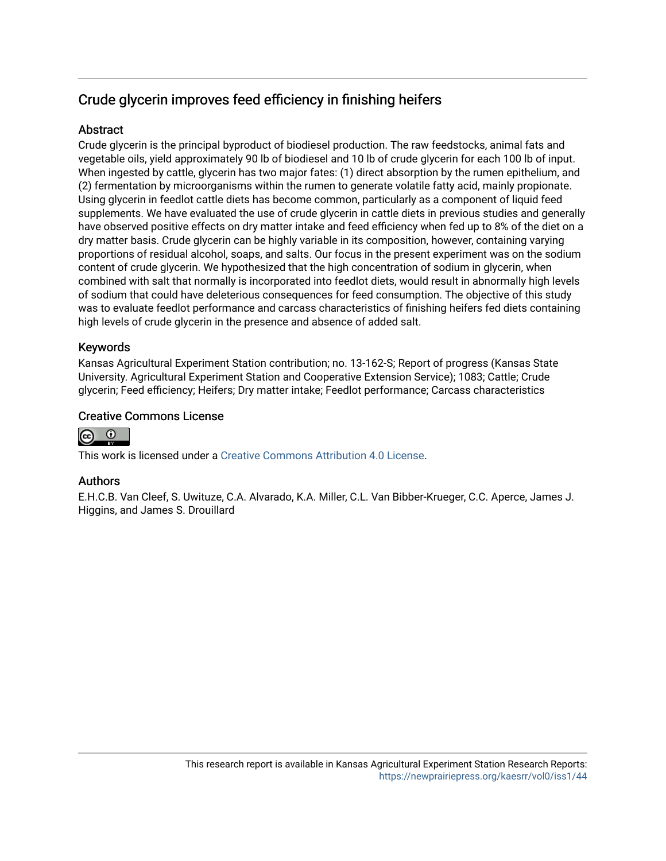## Crude glycerin improves feed efficiency in finishing heifers

### **Abstract**

Crude glycerin is the principal byproduct of biodiesel production. The raw feedstocks, animal fats and vegetable oils, yield approximately 90 lb of biodiesel and 10 lb of crude glycerin for each 100 lb of input. When ingested by cattle, glycerin has two major fates: (1) direct absorption by the rumen epithelium, and (2) fermentation by microorganisms within the rumen to generate volatile fatty acid, mainly propionate. Using glycerin in feedlot cattle diets has become common, particularly as a component of liquid feed supplements. We have evaluated the use of crude glycerin in cattle diets in previous studies and generally have observed positive effects on dry matter intake and feed efficiency when fed up to 8% of the diet on a dry matter basis. Crude glycerin can be highly variable in its composition, however, containing varying proportions of residual alcohol, soaps, and salts. Our focus in the present experiment was on the sodium content of crude glycerin. We hypothesized that the high concentration of sodium in glycerin, when combined with salt that normally is incorporated into feedlot diets, would result in abnormally high levels of sodium that could have deleterious consequences for feed consumption. The objective of this study was to evaluate feedlot performance and carcass characteristics of finishing heifers fed diets containing high levels of crude glycerin in the presence and absence of added salt.

### Keywords

Kansas Agricultural Experiment Station contribution; no. 13-162-S; Report of progress (Kansas State University. Agricultural Experiment Station and Cooperative Extension Service); 1083; Cattle; Crude glycerin; Feed efficiency; Heifers; Dry matter intake; Feedlot performance; Carcass characteristics

#### Creative Commons License



This work is licensed under a [Creative Commons Attribution 4.0 License](https://creativecommons.org/licenses/by/4.0/).

### Authors

E.H.C.B. Van Cleef, S. Uwituze, C.A. Alvarado, K.A. Miller, C.L. Van Bibber-Krueger, C.C. Aperce, James J. Higgins, and James S. Drouillard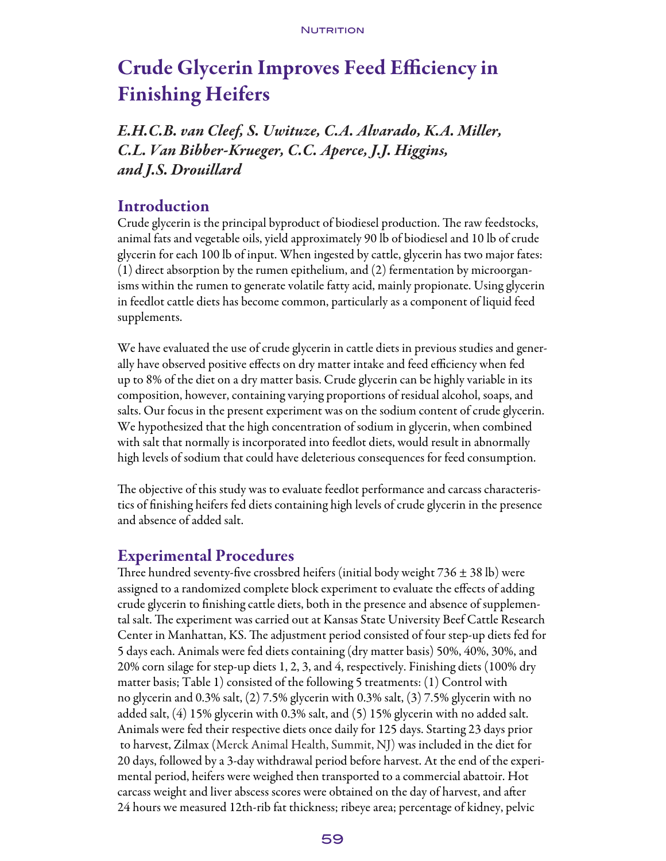# Crude Glycerin Improves Feed Efficiency in Finishing Heifers

*E.H.C.B. van Cleef, S. Uwituze, C.A. Alvarado, K.A. Miller, C.L. Van Bibber-Krueger, C.C. Aperce, J.J. Higgins, and J.S. Drouillard*

### **Introduction**

Crude glycerin is the principal byproduct of biodiesel production. The raw feedstocks, animal fats and vegetable oils, yield approximately 90 lb of biodiesel and 10 lb of crude glycerin for each 100 lb of input. When ingested by cattle, glycerin has two major fates: (1) direct absorption by the rumen epithelium, and (2) fermentation by microorganisms within the rumen to generate volatile fatty acid, mainly propionate. Using glycerin in feedlot cattle diets has become common, particularly as a component of liquid feed supplements.

We have evaluated the use of crude glycerin in cattle diets in previous studies and generally have observed positive effects on dry matter intake and feed efficiency when fed up to 8% of the diet on a dry matter basis. Crude glycerin can be highly variable in its composition, however, containing varying proportions of residual alcohol, soaps, and salts. Our focus in the present experiment was on the sodium content of crude glycerin. We hypothesized that the high concentration of sodium in glycerin, when combined with salt that normally is incorporated into feedlot diets, would result in abnormally high levels of sodium that could have deleterious consequences for feed consumption.

The objective of this study was to evaluate feedlot performance and carcass characteristics of finishing heifers fed diets containing high levels of crude glycerin in the presence and absence of added salt.

### Experimental Procedures

Three hundred seventy-five crossbred heifers (initial body weight  $736 \pm 38$  lb) were assigned to a randomized complete block experiment to evaluate the effects of adding crude glycerin to finishing cattle diets, both in the presence and absence of supplemental salt. The experiment was carried out at Kansas State University Beef Cattle Research Center in Manhattan, KS. The adjustment period consisted of four step-up diets fed for 5 days each. Animals were fed diets containing (dry matter basis) 50%, 40%, 30%, and 20% corn silage for step-up diets 1, 2, 3, and 4, respectively. Finishing diets (100% dry matter basis; Table 1) consisted of the following 5 treatments: (1) Control with no glycerin and 0.3% salt, (2) 7.5% glycerin with 0.3% salt, (3) 7.5% glycerin with no added salt, (4) 15% glycerin with 0.3% salt, and (5) 15% glycerin with no added salt. Animals were fed their respective diets once daily for 125 days. Starting 23 days prior to harvest, Zilmax (Merck Animal Health, Summit, NJ) was included in the diet for 20 days, followed by a 3-day withdrawal period before harvest. At the end of the experimental period, heifers were weighed then transported to a commercial abattoir. Hot carcass weight and liver abscess scores were obtained on the day of harvest, and after 24 hours we measured 12th-rib fat thickness; ribeye area; percentage of kidney, pelvic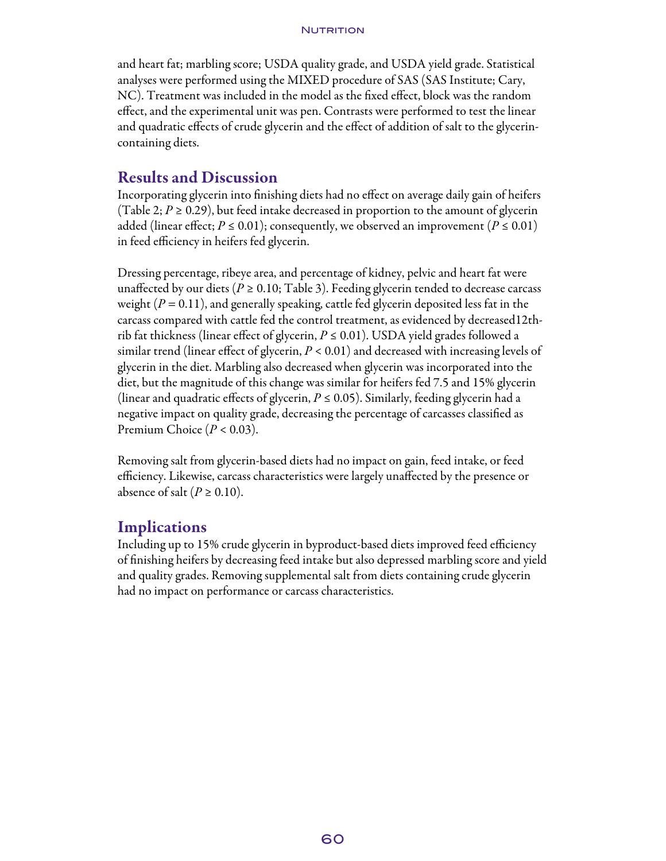and heart fat; marbling score; USDA quality grade, and USDA yield grade. Statistical analyses were performed using the MIXED procedure of SAS (SAS Institute; Cary, NC). Treatment was included in the model as the fixed effect, block was the random effect, and the experimental unit was pen. Contrasts were performed to test the linear and quadratic effects of crude glycerin and the effect of addition of salt to the glycerincontaining diets.

### Results and Discussion

Incorporating glycerin into finishing diets had no effect on average daily gain of heifers (Table 2;  $P \ge 0.29$ ), but feed intake decreased in proportion to the amount of glycerin added (linear effect;  $P \le 0.01$ ); consequently, we observed an improvement ( $P \le 0.01$ ) in feed efficiency in heifers fed glycerin.

Dressing percentage, ribeye area, and percentage of kidney, pelvic and heart fat were unaffected by our diets ( $P \ge 0.10$ ; Table 3). Feeding glycerin tended to decrease carcass weight  $(P = 0.11)$ , and generally speaking, cattle fed glycerin deposited less fat in the carcass compared with cattle fed the control treatment, as evidenced by decreased12thrib fat thickness (linear effect of glycerin,  $P \leq 0.01$ ). USDA yield grades followed a similar trend (linear effect of glycerin,  $P < 0.01$ ) and decreased with increasing levels of glycerin in the diet. Marbling also decreased when glycerin was incorporated into the diet, but the magnitude of this change was similar for heifers fed 7.5 and 15% glycerin (linear and quadratic effects of glycerin,  $P \leq 0.05$ ). Similarly, feeding glycerin had a negative impact on quality grade, decreasing the percentage of carcasses classified as Premium Choice (*P* < 0.03).

Removing salt from glycerin-based diets had no impact on gain, feed intake, or feed efficiency. Likewise, carcass characteristics were largely unaffected by the presence or absence of salt ( $P \ge 0.10$ ).

### **Implications**

Including up to 15% crude glycerin in byproduct-based diets improved feed efficiency of finishing heifers by decreasing feed intake but also depressed marbling score and yield and quality grades. Removing supplemental salt from diets containing crude glycerin had no impact on performance or carcass characteristics.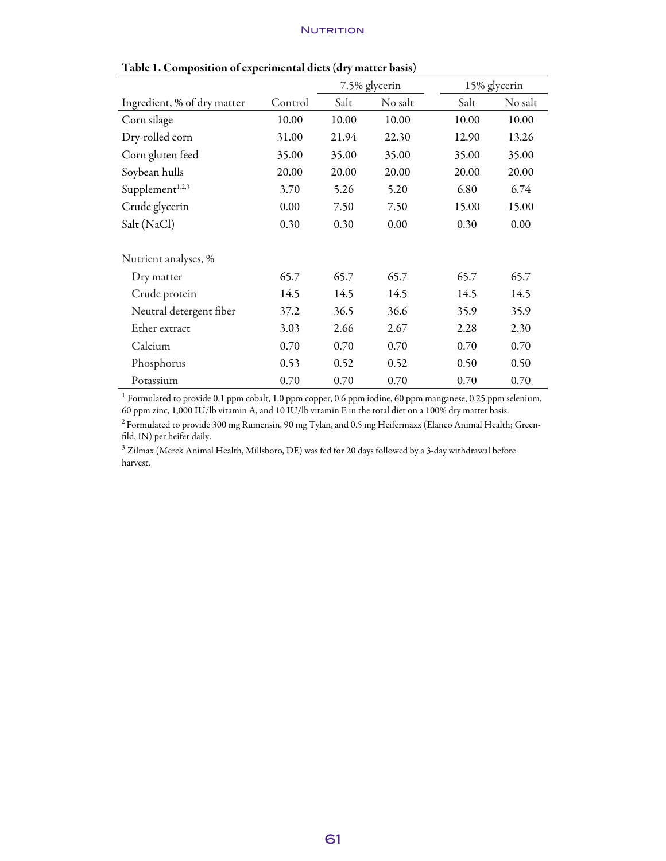|                             |         |       | 7.5% glycerin |       | 15% glycerin |  |  |
|-----------------------------|---------|-------|---------------|-------|--------------|--|--|
| Ingredient, % of dry matter | Control | Salt  | No salt       | Salt  | No salt      |  |  |
| Corn silage                 | 10.00   | 10.00 | 10.00         | 10.00 | 10.00        |  |  |
| Dry-rolled corn             | 31.00   | 21.94 | 22.30         | 12.90 | 13.26        |  |  |
| Corn gluten feed            | 35.00   | 35.00 | 35.00         | 35.00 | 35.00        |  |  |
| Soybean hulls               | 20.00   | 20.00 | 20.00         | 20.00 | 20.00        |  |  |
| Supplement <sup>1,2,3</sup> | 3.70    | 5.26  | 5.20          | 6.80  | 6.74         |  |  |
| Crude glycerin              | 0.00    | 7.50  | 7.50          | 15.00 | 15.00        |  |  |
| Salt (NaCl)                 | 0.30    | 0.30  | 0.00          |       | 0.00         |  |  |
| Nutrient analyses, %        |         |       |               |       |              |  |  |
| Dry matter                  | 65.7    | 65.7  | 65.7          | 65.7  | 65.7         |  |  |
| Crude protein               | 14.5    | 14.5  | 14.5          | 14.5  | 14.5         |  |  |
| Neutral detergent fiber     | 37.2    | 36.5  | 36.6          | 35.9  | 35.9         |  |  |
| Ether extract               | 3.03    | 2.66  | 2.67          | 2.28  | 2.30         |  |  |
| Calcium                     | 0.70    | 0.70  | 0.70          | 0.70  | 0.70         |  |  |
| Phosphorus                  | 0.53    | 0.52  | 0.52          | 0.50  | 0.50         |  |  |
| Potassium                   | 0.70    | 0.70  | 0.70          | 0.70  | 0.70         |  |  |

| Table 1. Composition of experimental diets (dry matter basis) |  |
|---------------------------------------------------------------|--|
|---------------------------------------------------------------|--|

<sup>1</sup> Formulated to provide 0.1 ppm cobalt, 1.0 ppm copper, 0.6 ppm iodine, 60 ppm manganese, 0.25 ppm selenium, 60 ppm zinc, 1,000 IU/lb vitamin A, and 10 IU/lb vitamin E in the total diet on a 100% dry matter basis.

 $^2$  Formulated to provide 300 mg Rumensin, 90 mg Tylan, and 0.5 mg Heifermaxx (Elanco Animal Health; Greenfild, IN) per heifer daily.

 $3$  Zilmax (Merck Animal Health, Millsboro, DE) was fed for 20 days followed by a 3-day withdrawal before harvest.